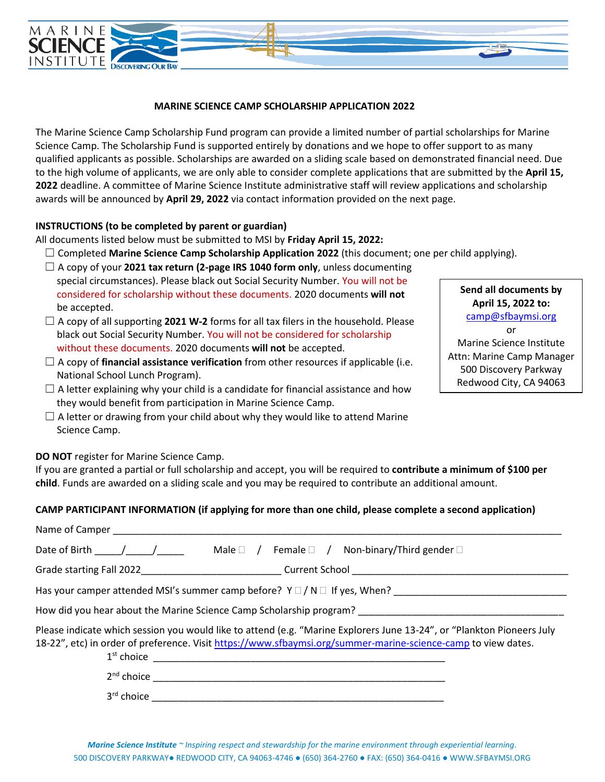

## **MARINE SCIENCE CAMP SCHOLARSHIP APPLICATION 2022**

The Marine Science Camp Scholarship Fund program can provide a limited number of partial scholarships for Marine Science Camp. The Scholarship Fund is supported entirely by donations and we hope to offer support to as many qualified applicants as possible. Scholarships are awarded on a sliding scale based on demonstrated financial need. Due to the high volume of applicants, we are only able to consider complete applications that are submitted by the **April 15, 2022** deadline. A committee of Marine Science Institute administrative staff will review applications and scholarship awards will be announced by **April 29, 2022** via contact information provided on the next page.

## **INSTRUCTIONS (to be completed by parent or guardian)**

All documents listed below must be submitted to MSI by **Friday April 15, 2022:**

- ☐ Completed **Marine Science Camp Scholarship Application 2022** (this document; one per child applying).
- $\Box$  A copy of your **2021 tax return (2-page IRS 1040 form only**, unless documenting special circumstances). Please black out Social Security Number. You will not be considered for scholarship without these documents. 2020 documents **will not** be accepted.
- ☐ A copy of all supporting **2021 W-2** forms for all tax filers in the household. Please black out Social Security Number. You will not be considered for scholarship without these documents. 2020 documents **will not** be accepted.
- ☐ A copy of **financial assistance verification** from other resources if applicable (i.e. National School Lunch Program).
- $\Box$  A letter explaining why your child is a candidate for financial assistance and how they would benefit from participation in Marine Science Camp.
- $\Box$  A letter or drawing from your child about why they would like to attend Marine Science Camp.

**Send all documents by April 15, 2022 to:** [camp@sfbaymsi.org](mailto:camp@sfbaymsi.org) or Marine Science Institute Attn: Marine Camp Manager 500 Discovery Parkway Redwood City, CA 94063

**DO NOT** register for Marine Science Camp.

If you are granted a partial or full scholarship and accept, you will be required to **contribute a minimum of \$100 per child**. Funds are awarded on a sliding scale and you may be required to contribute an additional amount.

## **CAMP PARTICIPANT INFORMATION (if applying for more than one child, please complete a second application)**

| Name of Camper                                                                                                                                                                                                                          |  |  |
|-----------------------------------------------------------------------------------------------------------------------------------------------------------------------------------------------------------------------------------------|--|--|
| Date of Birth $\frac{1}{2}$ /<br>Male $\Box$ / Female $\Box$ / Non-binary/Third gender $\Box$                                                                                                                                           |  |  |
|                                                                                                                                                                                                                                         |  |  |
| Has your camper attended MSI's summer camp before? $Y \square / N \square$ If yes, When? _________________________                                                                                                                      |  |  |
| How did you hear about the Marine Science Camp Scholarship program?                                                                                                                                                                     |  |  |
| Please indicate which session you would like to attend (e.g. "Marine Explorers June 13-24", or "Plankton Pioneers July<br>18-22", etc) in order of preference. Visit https://www.sfbaymsi.org/summer-marine-science-camp to view dates. |  |  |
|                                                                                                                                                                                                                                         |  |  |
| 3 <sup>rd</sup> choice                                                                                                                                                                                                                  |  |  |